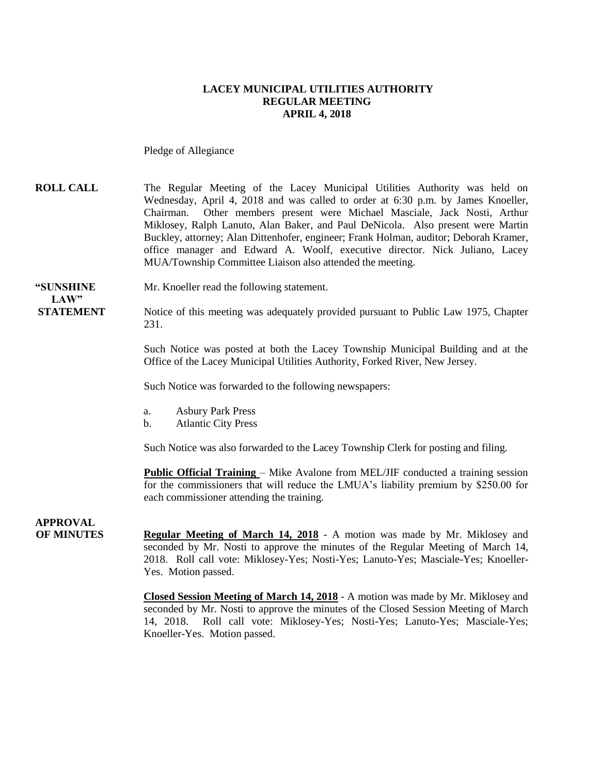#### **LACEY MUNICIPAL UTILITIES AUTHORITY REGULAR MEETING APRIL 4, 2018**

Pledge of Allegiance

**ROLL CALL** The Regular Meeting of the Lacey Municipal Utilities Authority was held on Wednesday, April 4, 2018 and was called to order at 6:30 p.m. by James Knoeller, Chairman. Other members present were Michael Masciale, Jack Nosti, Arthur Miklosey, Ralph Lanuto, Alan Baker, and Paul DeNicola. Also present were Martin Buckley, attorney; Alan Dittenhofer, engineer; Frank Holman, auditor; Deborah Kramer, office manager and Edward A. Woolf, executive director. Nick Juliano, Lacey MUA/Township Committee Liaison also attended the meeting.

**"SUNSHINE** Mr. Knoeller read the following statement. **LAW"**

**STATEMENT** Notice of this meeting was adequately provided pursuant to Public Law 1975, Chapter 231.

> Such Notice was posted at both the Lacey Township Municipal Building and at the Office of the Lacey Municipal Utilities Authority, Forked River, New Jersey.

Such Notice was forwarded to the following newspapers:

- a. Asbury Park Press
- b. Atlantic City Press

Such Notice was also forwarded to the Lacey Township Clerk for posting and filing.

**Public Official Training** – Mike Avalone from MEL/JIF conducted a training session for the commissioners that will reduce the LMUA's liability premium by \$250.00 for each commissioner attending the training.

### **APPROVAL**

**OF MINUTES Regular Meeting of March 14, 2018** - A motion was made by Mr. Miklosey and seconded by Mr. Nosti to approve the minutes of the Regular Meeting of March 14, 2018. Roll call vote: Miklosey-Yes; Nosti-Yes; Lanuto-Yes; Masciale-Yes; Knoeller-Yes. Motion passed.

> **Closed Session Meeting of March 14, 2018** - A motion was made by Mr. Miklosey and seconded by Mr. Nosti to approve the minutes of the Closed Session Meeting of March 14, 2018. Roll call vote: Miklosey-Yes; Nosti-Yes; Lanuto-Yes; Masciale-Yes; Knoeller-Yes. Motion passed.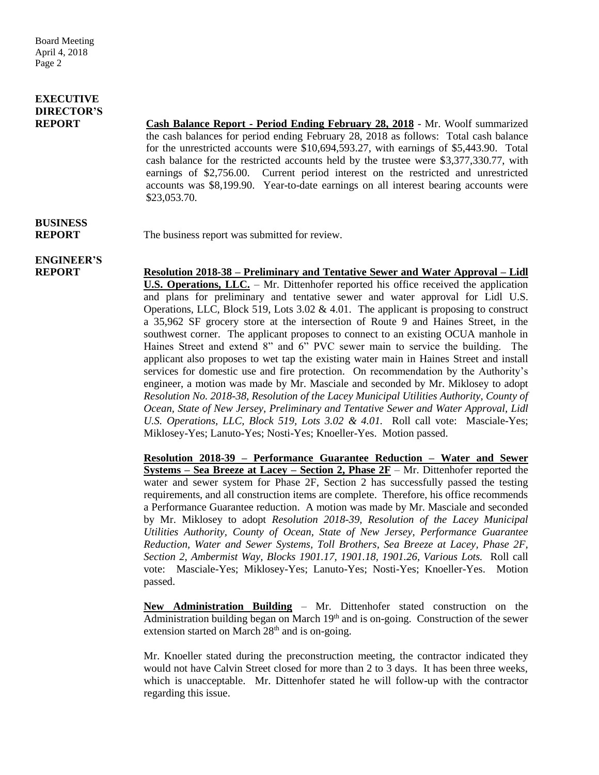## **EXECUTIVE DIRECTOR'S**

**REPORT Cash Balance Report - Period Ending February 28, 2018** - Mr. Woolf summarized the cash balances for period ending February 28, 2018 as follows: Total cash balance for the unrestricted accounts were \$10,694,593.27, with earnings of \$5,443.90. Total cash balance for the restricted accounts held by the trustee were \$3,377,330.77, with earnings of \$2,756.00. Current period interest on the restricted and unrestricted accounts was \$8,199.90. Year-to-date earnings on all interest bearing accounts were \$23,053.70.

# **BUSINESS**

**REPORT** The business report was submitted for review.

# **ENGINEER'S**

**REPORT Resolution 2018-38 – Preliminary and Tentative Sewer and Water Approval – Lidl U.S. Operations, LLC.** – Mr. Dittenhofer reported his office received the application and plans for preliminary and tentative sewer and water approval for Lidl U.S. Operations, LLC, Block 519, Lots 3.02  $& 4.01$ . The applicant is proposing to construct a 35,962 SF grocery store at the intersection of Route 9 and Haines Street, in the southwest corner. The applicant proposes to connect to an existing OCUA manhole in Haines Street and extend 8" and 6" PVC sewer main to service the building. The applicant also proposes to wet tap the existing water main in Haines Street and install services for domestic use and fire protection. On recommendation by the Authority's engineer, a motion was made by Mr. Masciale and seconded by Mr. Miklosey to adopt *Resolution No. 2018-38, Resolution of the Lacey Municipal Utilities Authority, County of Ocean, State of New Jersey, Preliminary and Tentative Sewer and Water Approval, Lidl U.S. Operations, LLC, Block 519, Lots 3.02 & 4.01.* Roll call vote: Masciale-Yes; Miklosey-Yes; Lanuto-Yes; Nosti-Yes; Knoeller-Yes. Motion passed.

> **Resolution 2018-39 – Performance Guarantee Reduction – Water and Sewer Systems – Sea Breeze at Lacey – Section 2, Phase 2F** – Mr. Dittenhofer reported the water and sewer system for Phase 2F, Section 2 has successfully passed the testing requirements, and all construction items are complete. Therefore, his office recommends a Performance Guarantee reduction. A motion was made by Mr. Masciale and seconded by Mr. Miklosey to adopt *Resolution 2018-39, Resolution of the Lacey Municipal Utilities Authority, County of Ocean, State of New Jersey, Performance Guarantee Reduction, Water and Sewer Systems, Toll Brothers, Sea Breeze at Lacey, Phase 2F, Section 2, Ambermist Way, Blocks 1901.17, 1901.18, 1901.26, Various Lots.* Roll call vote: Masciale-Yes; Miklosey-Yes; Lanuto-Yes; Nosti-Yes; Knoeller-Yes. Motion passed.

> **New Administration Building** – Mr. Dittenhofer stated construction on the Administration building began on March  $19<sup>th</sup>$  and is on-going. Construction of the sewer extension started on March  $28<sup>th</sup>$  and is on-going.

> Mr. Knoeller stated during the preconstruction meeting, the contractor indicated they would not have Calvin Street closed for more than 2 to 3 days. It has been three weeks, which is unacceptable. Mr. Dittenhofer stated he will follow-up with the contractor regarding this issue.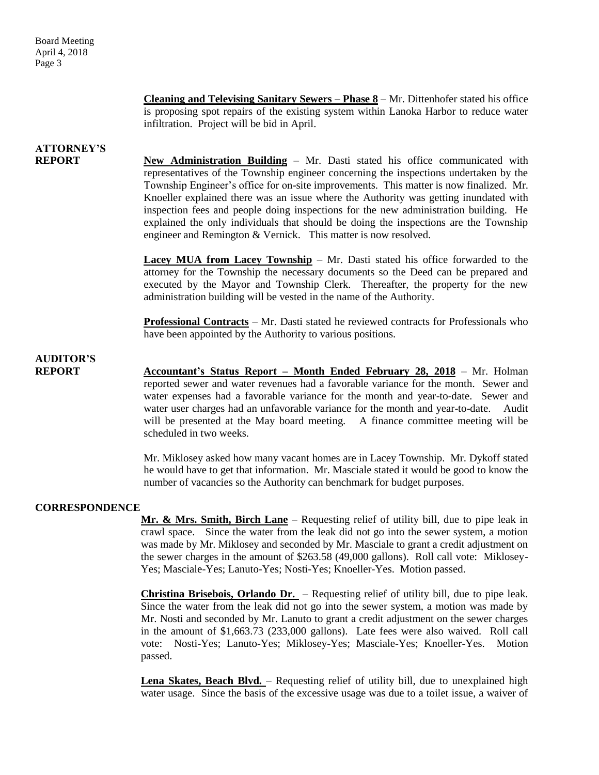**Cleaning and Televising Sanitary Sewers – Phase 8** – Mr. Dittenhofer stated his office is proposing spot repairs of the existing system within Lanoka Harbor to reduce water infiltration. Project will be bid in April.

# **ATTORNEY'S**

**REPORT New Administration Building** – Mr. Dasti stated his office communicated with representatives of the Township engineer concerning the inspections undertaken by the Township Engineer's office for on-site improvements. This matter is now finalized. Mr. Knoeller explained there was an issue where the Authority was getting inundated with inspection fees and people doing inspections for the new administration building. He explained the only individuals that should be doing the inspections are the Township engineer and Remington & Vernick. This matter is now resolved.

> **Lacey MUA from Lacey Township** – Mr. Dasti stated his office forwarded to the attorney for the Township the necessary documents so the Deed can be prepared and executed by the Mayor and Township Clerk. Thereafter, the property for the new administration building will be vested in the name of the Authority.

> **Professional Contracts** – Mr. Dasti stated he reviewed contracts for Professionals who have been appointed by the Authority to various positions.

## **AUDITOR'S**

**REPORT Accountant's Status Report – Month Ended February 28, 2018** – Mr. Holman reported sewer and water revenues had a favorable variance for the month. Sewer and water expenses had a favorable variance for the month and year-to-date. Sewer and water user charges had an unfavorable variance for the month and year-to-date. Audit will be presented at the May board meeting. A finance committee meeting will be scheduled in two weeks.

> Mr. Miklosey asked how many vacant homes are in Lacey Township. Mr. Dykoff stated he would have to get that information. Mr. Masciale stated it would be good to know the number of vacancies so the Authority can benchmark for budget purposes.

### **CORRESPONDENCE**

**Mr. & Mrs. Smith, Birch Lane** – Requesting relief of utility bill, due to pipe leak in crawl space. Since the water from the leak did not go into the sewer system, a motion was made by Mr. Miklosey and seconded by Mr. Masciale to grant a credit adjustment on the sewer charges in the amount of \$263.58 (49,000 gallons). Roll call vote: Miklosey-Yes; Masciale-Yes; Lanuto-Yes; Nosti-Yes; Knoeller-Yes. Motion passed.

**Christina Brisebois, Orlando Dr.** – Requesting relief of utility bill, due to pipe leak. Since the water from the leak did not go into the sewer system, a motion was made by Mr. Nosti and seconded by Mr. Lanuto to grant a credit adjustment on the sewer charges in the amount of \$1,663.73 (233,000 gallons). Late fees were also waived. Roll call vote: Nosti-Yes; Lanuto-Yes; Miklosey-Yes; Masciale-Yes; Knoeller-Yes. Motion passed.

Lena Skates, Beach Blvd. – Requesting relief of utility bill, due to unexplained high water usage. Since the basis of the excessive usage was due to a toilet issue, a waiver of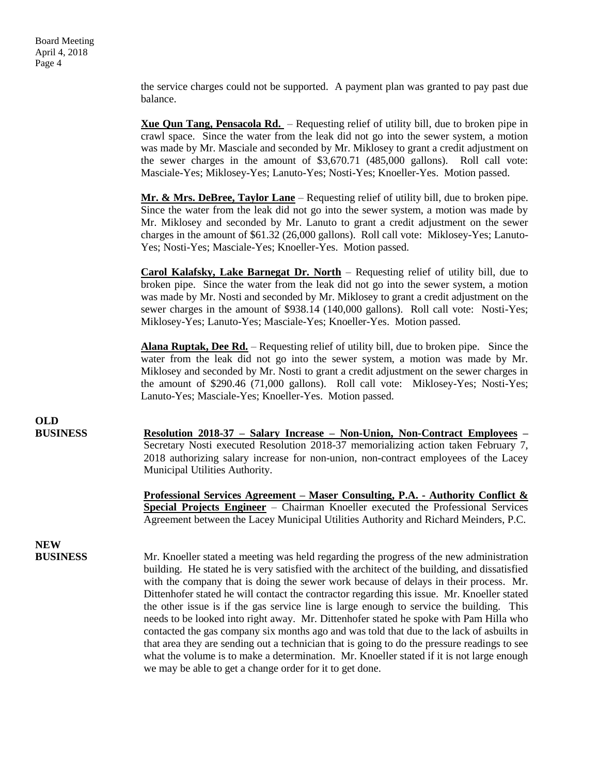the service charges could not be supported. A payment plan was granted to pay past due balance.

**Xue Qun Tang, Pensacola Rd.** – Requesting relief of utility bill, due to broken pipe in crawl space. Since the water from the leak did not go into the sewer system, a motion was made by Mr. Masciale and seconded by Mr. Miklosey to grant a credit adjustment on the sewer charges in the amount of \$3,670.71 (485,000 gallons). Roll call vote: Masciale-Yes; Miklosey-Yes; Lanuto-Yes; Nosti-Yes; Knoeller-Yes. Motion passed.

**Mr. & Mrs. DeBree, Taylor Lane** – Requesting relief of utility bill, due to broken pipe. Since the water from the leak did not go into the sewer system, a motion was made by Mr. Miklosey and seconded by Mr. Lanuto to grant a credit adjustment on the sewer charges in the amount of \$61.32 (26,000 gallons). Roll call vote: Miklosey-Yes; Lanuto-Yes; Nosti-Yes; Masciale-Yes; Knoeller-Yes. Motion passed.

**Carol Kalafsky, Lake Barnegat Dr. North** – Requesting relief of utility bill, due to broken pipe. Since the water from the leak did not go into the sewer system, a motion was made by Mr. Nosti and seconded by Mr. Miklosey to grant a credit adjustment on the sewer charges in the amount of \$938.14 (140,000 gallons). Roll call vote: Nosti-Yes; Miklosey-Yes; Lanuto-Yes; Masciale-Yes; Knoeller-Yes. Motion passed.

**Alana Ruptak, Dee Rd.** – Requesting relief of utility bill, due to broken pipe. Since the water from the leak did not go into the sewer system, a motion was made by Mr. Miklosey and seconded by Mr. Nosti to grant a credit adjustment on the sewer charges in the amount of \$290.46 (71,000 gallons). Roll call vote: Miklosey-Yes; Nosti-Yes; Lanuto-Yes; Masciale-Yes; Knoeller-Yes. Motion passed.

**OLD**

**BUSINESS Resolution 2018-37 – Salary Increase – Non-Union, Non-Contract Employees –** Secretary Nosti executed Resolution 2018-37 memorializing action taken February 7, 2018 authorizing salary increase for non-union, non-contract employees of the Lacey Municipal Utilities Authority.

> **Professional Services Agreement – Maser Consulting, P.A. - Authority Conflict & Special Projects Engineer** – Chairman Knoeller executed the Professional Services Agreement between the Lacey Municipal Utilities Authority and Richard Meinders, P.C.

# **NEW**

**BUSINESS** Mr. Knoeller stated a meeting was held regarding the progress of the new administration building. He stated he is very satisfied with the architect of the building, and dissatisfied with the company that is doing the sewer work because of delays in their process. Mr. Dittenhofer stated he will contact the contractor regarding this issue. Mr. Knoeller stated the other issue is if the gas service line is large enough to service the building. This needs to be looked into right away. Mr. Dittenhofer stated he spoke with Pam Hilla who contacted the gas company six months ago and was told that due to the lack of asbuilts in that area they are sending out a technician that is going to do the pressure readings to see what the volume is to make a determination. Mr. Knoeller stated if it is not large enough we may be able to get a change order for it to get done.